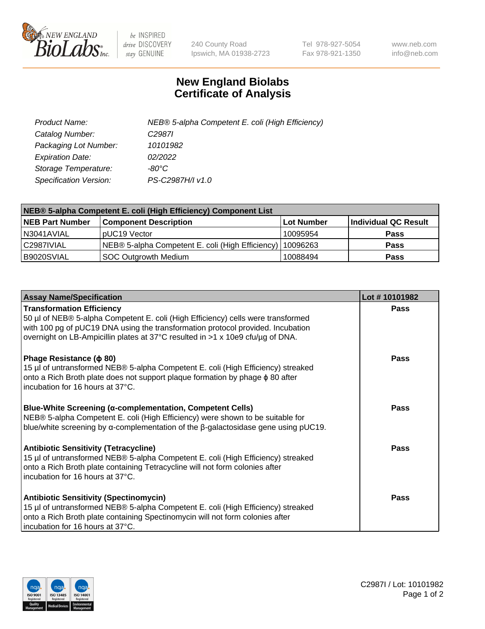

 $be$  INSPIRED drive DISCOVERY stay GENUINE

240 County Road Ipswich, MA 01938-2723 Tel 978-927-5054 Fax 978-921-1350 www.neb.com info@neb.com

## **New England Biolabs Certificate of Analysis**

| Product Name:           | NEB® 5-alpha Competent E. coli (High Efficiency) |
|-------------------------|--------------------------------------------------|
| Catalog Number:         | C <sub>2987</sub>                                |
| Packaging Lot Number:   | 10101982                                         |
| <b>Expiration Date:</b> | 02/2022                                          |
| Storage Temperature:    | -80°C.                                           |
| Specification Version:  | PS-C2987H/I v1.0                                 |

| NEB® 5-alpha Competent E. coli (High Efficiency) Component List |                                                  |            |                      |  |
|-----------------------------------------------------------------|--------------------------------------------------|------------|----------------------|--|
| <b>NEB Part Number</b>                                          | <b>Component Description</b>                     | Lot Number | Individual QC Result |  |
| N3041AVIAL                                                      | pUC19 Vector                                     | 10095954   | <b>Pass</b>          |  |
| C2987IVIAL                                                      | NEB® 5-alpha Competent E. coli (High Efficiency) | 10096263   | <b>Pass</b>          |  |
| B9020SVIAL                                                      | <b>SOC Outgrowth Medium</b>                      | 10088494   | <b>Pass</b>          |  |

| <b>Assay Name/Specification</b>                                                                                                                                                                                                                                                           | Lot #10101982 |
|-------------------------------------------------------------------------------------------------------------------------------------------------------------------------------------------------------------------------------------------------------------------------------------------|---------------|
| <b>Transformation Efficiency</b><br>50 µl of NEB® 5-alpha Competent E. coli (High Efficiency) cells were transformed<br>with 100 pg of pUC19 DNA using the transformation protocol provided. Incubation<br>overnight on LB-Ampicillin plates at 37°C resulted in >1 x 10e9 cfu/µg of DNA. | <b>Pass</b>   |
| Phage Resistance ( $\phi$ 80)<br>15 µl of untransformed NEB® 5-alpha Competent E. coli (High Efficiency) streaked<br>onto a Rich Broth plate does not support plaque formation by phage $\phi$ 80 after<br>incubation for 16 hours at 37°C.                                               | Pass          |
| Blue-White Screening (α-complementation, Competent Cells)<br>NEB® 5-alpha Competent E. coli (High Efficiency) were shown to be suitable for<br>blue/white screening by $\alpha$ -complementation of the $\beta$ -galactosidase gene using pUC19.                                          | <b>Pass</b>   |
| <b>Antibiotic Sensitivity (Tetracycline)</b><br>15 µl of untransformed NEB® 5-alpha Competent E. coli (High Efficiency) streaked<br>onto a Rich Broth plate containing Tetracycline will not form colonies after<br>incubation for 16 hours at 37°C.                                      | Pass          |
| <b>Antibiotic Sensitivity (Spectinomycin)</b><br>15 µl of untransformed NEB® 5-alpha Competent E. coli (High Efficiency) streaked<br>onto a Rich Broth plate containing Spectinomycin will not form colonies after<br>incubation for 16 hours at 37°C.                                    | Pass          |